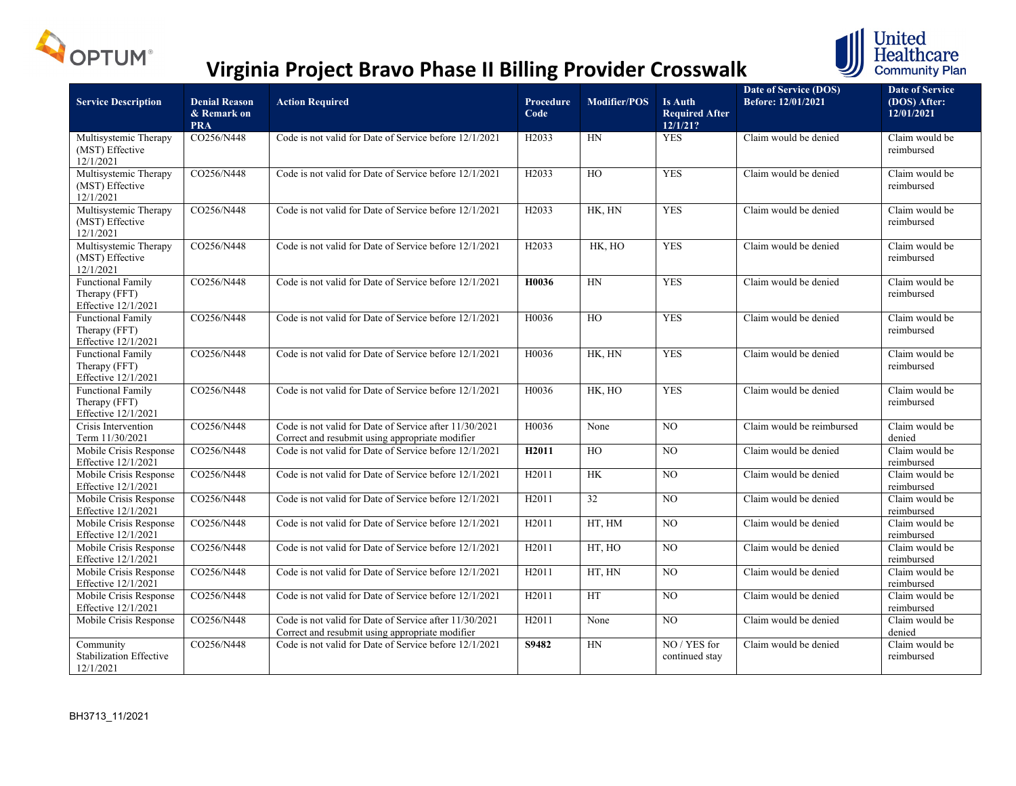



| <b>Service Description</b>                                       | <b>Denial Reason</b><br>& Remark on<br><b>PRA</b> | <b>Action Required</b>                                                                                    | Procedure<br>Code | Modifier/POS    | <b>Is Auth</b><br><b>Required After</b><br>12/1/21? | Date of Service (DOS)<br>Before: 12/01/2021 | <b>Date of Service</b><br>(DOS) After:<br>12/01/2021 |
|------------------------------------------------------------------|---------------------------------------------------|-----------------------------------------------------------------------------------------------------------|-------------------|-----------------|-----------------------------------------------------|---------------------------------------------|------------------------------------------------------|
| Multisystemic Therapy<br>(MST) Effective<br>12/1/2021            | CO256/N448                                        | Code is not valid for Date of Service before 12/1/2021                                                    | H <sub>2033</sub> | HN              | <b>YES</b>                                          | Claim would be denied                       | Claim would be<br>reimbursed                         |
| Multisystemic Therapy<br>(MST) Effective<br>12/1/2021            | CO256/N448                                        | Code is not valid for Date of Service before 12/1/2021                                                    | H2033             | HO              | <b>YES</b>                                          | Claim would be denied                       | Claim would be<br>reimbursed                         |
| Multisystemic Therapy<br>(MST) Effective<br>12/1/2021            | CO256/N448                                        | Code is not valid for Date of Service before 12/1/2021                                                    | H2033             | HK, HN          | <b>YES</b>                                          | Claim would be denied                       | Claim would be<br>reimbursed                         |
| Multisystemic Therapy<br>(MST) Effective<br>12/1/2021            | CO256/N448                                        | Code is not valid for Date of Service before 12/1/2021                                                    | H2033             | HK, HO          | <b>YES</b>                                          | Claim would be denied                       | Claim would be<br>reimbursed                         |
| <b>Functional Family</b><br>Therapy (FFT)<br>Effective 12/1/2021 | CO256/N448                                        | Code is not valid for Date of Service before 12/1/2021                                                    | H0036             | HN              | <b>YES</b>                                          | Claim would be denied                       | Claim would be<br>reimbursed                         |
| <b>Functional Family</b><br>Therapy (FFT)<br>Effective 12/1/2021 | CO256/N448                                        | Code is not valid for Date of Service before 12/1/2021                                                    | H0036             | HO              | <b>YES</b>                                          | Claim would be denied                       | Claim would be<br>reimbursed                         |
| <b>Functional Family</b><br>Therapy (FFT)<br>Effective 12/1/2021 | CO256/N448                                        | Code is not valid for Date of Service before 12/1/2021                                                    | H0036             | HK, HN          | <b>YES</b>                                          | Claim would be denied                       | Claim would be<br>reimbursed                         |
| <b>Functional Family</b><br>Therapy (FFT)<br>Effective 12/1/2021 | CO256/N448                                        | Code is not valid for Date of Service before 12/1/2021                                                    | H0036             | HK. HO          | <b>YES</b>                                          | Claim would be denied                       | Claim would be<br>reimbursed                         |
| Crisis Intervention<br>Term 11/30/2021                           | CO256/N448                                        | Code is not valid for Date of Service after 11/30/2021<br>Correct and resubmit using appropriate modifier | H0036             | None            | NO.                                                 | Claim would be reimbursed                   | Claim would be<br>denied                             |
| Mobile Crisis Response<br>Effective 12/1/2021                    | CO256/N448                                        | Code is not valid for Date of Service before 12/1/2021                                                    | H2011             | $_{\rm HO}$     | NO                                                  | Claim would be denied                       | Claim would be<br>reimbursed                         |
| Mobile Crisis Response<br>Effective 12/1/2021                    | CO256/N448                                        | Code is not valid for Date of Service before 12/1/2021                                                    | H2011             | HK              | NO                                                  | Claim would be denied                       | Claim would be<br>reimbursed                         |
| Mobile Crisis Response<br>Effective 12/1/2021                    | CO256/N448                                        | Code is not valid for Date of Service before 12/1/2021                                                    | H2011             | $\overline{32}$ | N <sub>O</sub>                                      | Claim would be denied                       | Claim would be<br>reimbursed                         |
| Mobile Crisis Response<br>Effective 12/1/2021                    | CO256/N448                                        | Code is not valid for Date of Service before 12/1/2021                                                    | H2011             | HT, HM          | N <sub>O</sub>                                      | Claim would be denied                       | Claim would be<br>reimbursed                         |
| Mobile Crisis Response<br>Effective 12/1/2021                    | CO256/N448                                        | Code is not valid for Date of Service before 12/1/2021                                                    | H2011             | HT, HO          | NO                                                  | Claim would be denied                       | Claim would be<br>reimbursed                         |
| Mobile Crisis Response<br>Effective 12/1/2021                    | CO256/N448                                        | Code is not valid for Date of Service before 12/1/2021                                                    | H2011             | HT. HN          | NO.                                                 | Claim would be denied                       | Claim would be<br>reimbursed                         |
| Mobile Crisis Response<br>Effective 12/1/2021                    | CO256/N448                                        | Code is not valid for Date of Service before 12/1/2021                                                    | H2011             | <b>HT</b>       | N <sub>O</sub>                                      | Claim would be denied                       | Claim would be<br>reimbursed                         |
| Mobile Crisis Response                                           | CO256/N448                                        | Code is not valid for Date of Service after 11/30/2021<br>Correct and resubmit using appropriate modifier | H2011             | None            | NO.                                                 | Claim would be denied                       | Claim would be<br>denied                             |
| Community<br><b>Stabilization Effective</b><br>12/1/2021         | CO256/N448                                        | Code is not valid for Date of Service before 12/1/2021                                                    | S9482             | HN              | NO / YES for<br>continued stay                      | Claim would be denied                       | Claim would be<br>reimbursed                         |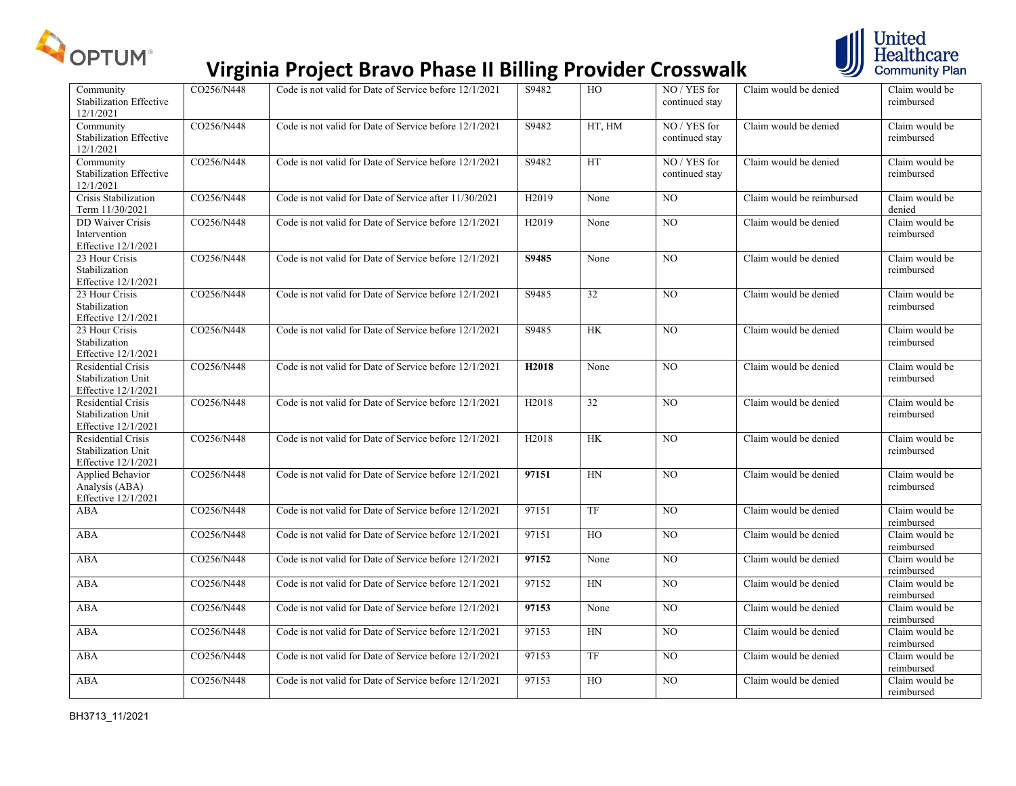



| Community<br>Stabilization Effective<br>12/1/2021                      | CO256/N448 | Code is not valid for Date of Service before 12/1/2021 | S9482             | HO        | NO / YES for<br>continued stay | Claim would be denied     | Claim would be<br>reimbursed |
|------------------------------------------------------------------------|------------|--------------------------------------------------------|-------------------|-----------|--------------------------------|---------------------------|------------------------------|
| Community<br>Stabilization Effective<br>12/1/2021                      | CO256/N448 | Code is not valid for Date of Service before 12/1/2021 | S9482             | HT, HM    | NO / YES for<br>continued stay | Claim would be denied     | Claim would be<br>reimbursed |
| Community<br>Stabilization Effective<br>12/1/2021                      | CO256/N448 | Code is not valid for Date of Service before 12/1/2021 | S9482             | <b>HT</b> | NO / YES for<br>continued stay | Claim would be denied     | Claim would be<br>reimbursed |
| Crisis Stabilization<br>Term 11/30/2021                                | CO256/N448 | Code is not valid for Date of Service after 11/30/2021 | H2019             | None      | N <sub>O</sub>                 | Claim would be reimbursed | Claim would be<br>denied     |
| <b>DD</b> Waiver Crisis<br>Intervention<br>Effective 12/1/2021         | CO256/N448 | Code is not valid for Date of Service before 12/1/2021 | H2019             | None      | NO.                            | Claim would be denied     | Claim would be<br>reimbursed |
| 23 Hour Crisis<br>Stabilization<br>Effective 12/1/2021                 | CO256/N448 | Code is not valid for Date of Service before 12/1/2021 | S9485             | None      | N <sub>O</sub>                 | Claim would be denied     | Claim would be<br>reimbursed |
| 23 Hour Crisis<br>Stabilization<br>Effective 12/1/2021                 | CO256/N448 | Code is not valid for Date of Service before 12/1/2021 | S9485             | 32        | N <sub>O</sub>                 | Claim would be denied     | Claim would be<br>reimbursed |
| 23 Hour Crisis<br>Stabilization<br>Effective 12/1/2021                 | CO256/N448 | Code is not valid for Date of Service before 12/1/2021 | S9485             | HK        | $_{\rm NO}$                    | Claim would be denied     | Claim would be<br>reimbursed |
| Residential Crisis<br>Stabilization Unit<br>Effective 12/1/2021        | CO256/N448 | Code is not valid for Date of Service before 12/1/2021 | H <sub>2018</sub> | None      | NO.                            | Claim would be denied     | Claim would be<br>reimbursed |
| Residential Crisis<br>Stabilization Unit<br>Effective 12/1/2021        | CO256/N448 | Code is not valid for Date of Service before 12/1/2021 | H2018             | 32        | NO.                            | Claim would be denied     | Claim would be<br>reimbursed |
| <b>Residential Crisis</b><br>Stabilization Unit<br>Effective 12/1/2021 | CO256/N448 | Code is not valid for Date of Service before 12/1/2021 | H <sub>2018</sub> | HK        | N <sub>O</sub>                 | Claim would be denied     | Claim would be<br>reimbursed |
| Applied Behavior<br>Analysis (ABA)<br>Effective 12/1/2021              | CO256/N448 | Code is not valid for Date of Service before 12/1/2021 | 97151             | HN        | NO                             | Claim would be denied     | Claim would be<br>reimbursed |
| <b>ABA</b>                                                             | CO256/N448 | Code is not valid for Date of Service before 12/1/2021 | 97151             | TF        | NO.                            | Claim would be denied     | Claim would be<br>reimbursed |
| <b>ABA</b>                                                             | CO256/N448 | Code is not valid for Date of Service before 12/1/2021 | 97151             | HO        | $_{\rm NO}$                    | Claim would be denied     | Claim would be<br>reimbursed |
| <b>ABA</b>                                                             | CO256/N448 | Code is not valid for Date of Service before 12/1/2021 | 97152             | None      | NO.                            | Claim would be denied     | Claim would be<br>reimbursed |
| <b>ABA</b>                                                             | CO256/N448 | Code is not valid for Date of Service before 12/1/2021 | 97152             | HN        | N <sub>O</sub>                 | Claim would be denied     | Claim would be<br>reimbursed |
| <b>ABA</b>                                                             | CO256/N448 | Code is not valid for Date of Service before 12/1/2021 | 97153             | None      | NO.                            | Claim would be denied     | Claim would be<br>reimbursed |
| ABA                                                                    | CO256/N448 | Code is not valid for Date of Service before 12/1/2021 | 97153             | HN        | NO                             | Claim would be denied     | Claim would be<br>reimbursed |
| ABA                                                                    | CO256/N448 | Code is not valid for Date of Service before 12/1/2021 | 97153             | TF        | NO.                            | Claim would be denied     | Claim would be<br>reimbursed |
| ABA                                                                    | CO256/N448 | Code is not valid for Date of Service before 12/1/2021 | 97153             | HO        | NO                             | Claim would be denied     | Claim would be<br>reimbursed |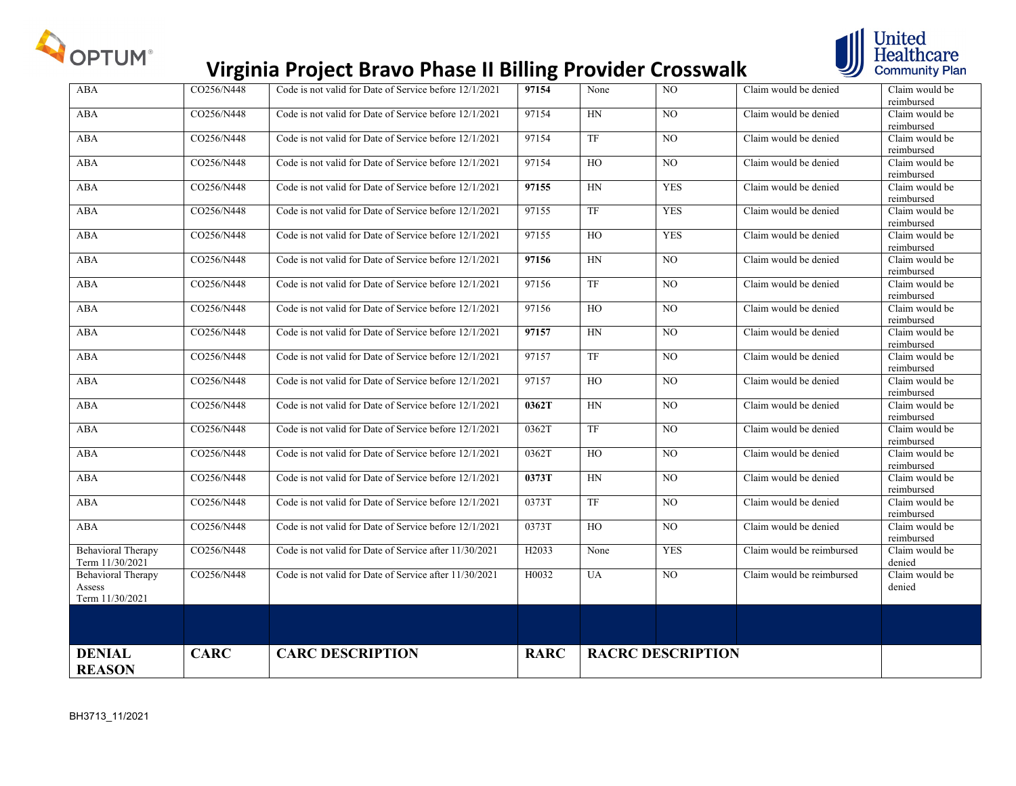



| ABA                                                    | CO256/N448  | Code is not valid for Date of Service before 12/1/2021 | 97154       | None                     | NO.            | Claim would be denied     | Claim would be<br>reimbursed               |
|--------------------------------------------------------|-------------|--------------------------------------------------------|-------------|--------------------------|----------------|---------------------------|--------------------------------------------|
| ABA                                                    | CO256/N448  | Code is not valid for Date of Service before 12/1/2021 | 97154       | HN                       | NO.            | Claim would be denied     | Claim would be<br>reimbursed               |
| ABA                                                    | CO256/N448  | Code is not valid for Date of Service before 12/1/2021 | 97154       | TF                       | NO.            | Claim would be denied     | Claim would be<br>reimbursed               |
| ABA                                                    | CO256/N448  | Code is not valid for Date of Service before 12/1/2021 | 97154       | HO                       | NO.            | Claim would be denied     | Claim would be                             |
| ABA                                                    | CO256/N448  | Code is not valid for Date of Service before 12/1/2021 | 97155       | HN                       | <b>YES</b>     | Claim would be denied     | reimbursed<br>Claim would be               |
| ABA                                                    | CO256/N448  | Code is not valid for Date of Service before 12/1/2021 | 97155       | TF                       | <b>YES</b>     | Claim would be denied     | reimbursed<br>Claim would be               |
| ABA                                                    | CO256/N448  | Code is not valid for Date of Service before 12/1/2021 | 97155       | HO                       | <b>YES</b>     | Claim would be denied     | reimbursed<br>Claim would be               |
| ABA                                                    | CO256/N448  | Code is not valid for Date of Service before 12/1/2021 | 97156       | HN                       | N <sub>O</sub> | Claim would be denied     | reimbursed<br>Claim would be               |
| ABA                                                    | CO256/N448  | Code is not valid for Date of Service before 12/1/2021 | 97156       | TF                       | N <sub>O</sub> | Claim would be denied     | reimbursed<br>Claim would be               |
| ABA                                                    | CO256/N448  | Code is not valid for Date of Service before 12/1/2021 | 97156       | HO                       | NO.            | Claim would be denied     | reimbursed<br>Claim would be               |
| ABA                                                    | CO256/N448  | Code is not valid for Date of Service before 12/1/2021 | 97157       | HN                       | NO             | Claim would be denied     | reimbursed<br>Claim would be<br>reimbursed |
| ABA                                                    | CO256/N448  | Code is not valid for Date of Service before 12/1/2021 | 97157       | TF                       | NO.            | Claim would be denied     | Claim would be<br>reimbursed               |
| ABA                                                    | CO256/N448  | Code is not valid for Date of Service before 12/1/2021 | 97157       | HO                       | NO.            | Claim would be denied     | Claim would be<br>reimbursed               |
| ABA                                                    | CO256/N448  | Code is not valid for Date of Service before 12/1/2021 | 0362T       | HN                       | N <sub>O</sub> | Claim would be denied     | Claim would be<br>reimbursed               |
| ABA                                                    | CO256/N448  | Code is not valid for Date of Service before 12/1/2021 | 0362T       | TF                       | N <sub>O</sub> | Claim would be denied     | Claim would be<br>reimbursed               |
| ABA                                                    | CO256/N448  | Code is not valid for Date of Service before 12/1/2021 | 0362T       | HO                       | NO.            | Claim would be denied     | Claim would be<br>reimbursed               |
| ABA                                                    | CO256/N448  | Code is not valid for Date of Service before 12/1/2021 | 0373T       | HN                       | N <sub>O</sub> | Claim would be denied     | Claim would be<br>reimbursed               |
| ABA                                                    | CO256/N448  | Code is not valid for Date of Service before 12/1/2021 | 0373T       | TF                       | NO.            | Claim would be denied     | Claim would be<br>reimbursed               |
| ABA                                                    | CO256/N448  | Code is not valid for Date of Service before 12/1/2021 | 0373T       | HO                       | N <sub>O</sub> | Claim would be denied     | Claim would be<br>reimbursed               |
| <b>Behavioral Therapy</b><br>Term 11/30/2021           | CO256/N448  | Code is not valid for Date of Service after 11/30/2021 | H2033       | None                     | <b>YES</b>     | Claim would be reimbursed | Claim would be<br>denied                   |
| <b>Behavioral Therapy</b><br>Assess<br>Term 11/30/2021 | CO256/N448  | Code is not valid for Date of Service after 11/30/2021 | H0032       | <b>UA</b>                | NO.            | Claim would be reimbursed | Claim would be<br>denied                   |
|                                                        |             |                                                        |             |                          |                |                           |                                            |
| <b>DENIAL</b><br><b>REASON</b>                         | <b>CARC</b> | <b>CARC DESCRIPTION</b>                                | <b>RARC</b> | <b>RACRC DESCRIPTION</b> |                |                           |                                            |